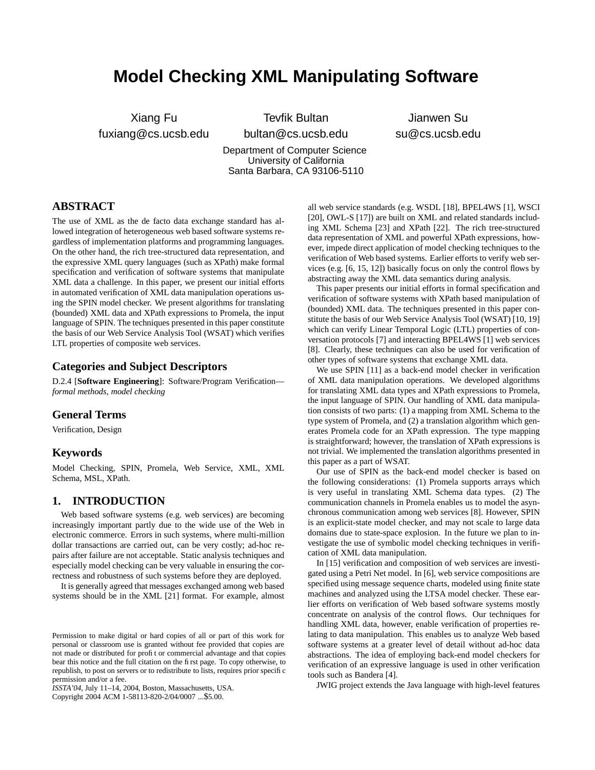# **Model Checking XML Manipulating Software**

Xiang Fu fuxiang@cs.ucsb.edu

Tevfik Bultan bultan@cs.ucsb.edu Department of Computer Science University of California Santa Barbara, CA 93106-5110

Jianwen Su su@cs.ucsb.edu

# **ABSTRACT**

The use of XML as the de facto data exchange standard has allowed integration of heterogeneous web based software systems regardless of implementation platforms and programming languages. On the other hand, the rich tree-structured data representation, and the expressive XML query languages (such as XPath) make formal specification and verification of software systems that manipulate XML data a challenge. In this paper, we present our initial efforts in automated verification of XML data manipulation operations using the SPIN model checker. We present algorithms for translating (bounded) XML data and XPath expressions to Promela, the input language of SPIN. The techniques presented in this paper constitute the basis of our Web Service Analysis Tool (WSAT) which verifies LTL properties of composite web services.

# **Categories and Subject Descriptors**

D.2.4 [**Software Engineering**]: Software/Program Verification *formal methods, model checking*

## **General Terms**

Verification, Design

#### **Keywords**

Model Checking, SPIN, Promela, Web Service, XML, XML Schema, MSL, XPath.

## **1. INTRODUCTION**

Web based software systems (e.g. web services) are becoming increasingly important partly due to the wide use of the Web in electronic commerce. Errors in such systems, where multi-million dollar transactions are carried out, can be very costly; ad-hoc repairs after failure are not acceptable. Static analysis techniques and especially model checking can be very valuable in ensuring the correctness and robustness of such systems before they are deployed.

It is generally agreed that messages exchanged among web based systems should be in the XML [21] format. For example, almost

*ISSTA'04,* July 11–14, 2004, Boston, Massachusetts, USA.

Copyright 2004 ACM 1-58113-820-2/04/0007 ...\$5.00.

all web service standards (e.g. WSDL [18], BPEL4WS [1], WSCI [20], OWL-S [17]) are built on XML and related standards including XML Schema [23] and XPath [22]. The rich tree-structured data representation of XML and powerful XPath expressions, however, impede direct application of model checking techniques to the verification of Web based systems. Earlier efforts to verify web services (e.g. [6, 15, 12]) basically focus on only the control flows by abstracting away the XML data semantics during analysis.

This paper presents our initial efforts in formal specification and verification of software systems with XPath based manipulation of (bounded) XML data. The techniques presented in this paper constitute the basis of our Web Service Analysis Tool (WSAT) [10, 19] which can verify Linear Temporal Logic (LTL) properties of conversation protocols [7] and interacting BPEL4WS [1] web services [8]. Clearly, these techniques can also be used for verification of other types of software systems that exchange XML data.

We use SPIN [11] as a back-end model checker in verification of XML data manipulation operations. We developed algorithms for translating XML data types and XPath expressions to Promela, the input language of SPIN. Our handling of XML data manipulation consists of two parts: (1) a mapping from XML Schema to the type system of Promela, and (2) a translation algorithm which generates Promela code for an XPath expression. The type mapping is straightforward; however, the translation of XPath expressions is not trivial. We implemented the translation algorithms presented in this paper as a part of WSAT.

Our use of SPIN as the back-end model checker is based on the following considerations: (1) Promela supports arrays which is very useful in translating XML Schema data types. (2) The communication channels in Promela enables us to model the asynchronous communication among web services [8]. However, SPIN is an explicit-state model checker, and may not scale to large data domains due to state-space explosion. In the future we plan to investigate the use of symbolic model checking techniques in verification of XML data manipulation.

In [15] verification and composition of web services are investigated using a Petri Net model. In [6], web service compositions are specified using message sequence charts, modeled using finite state machines and analyzed using the LTSA model checker. These earlier efforts on verification of Web based software systems mostly concentrate on analysis of the control flows. Our techniques for handling XML data, however, enable verification of properties relating to data manipulation. This enables us to analyze Web based software systems at a greater level of detail without ad-hoc data abstractions. The idea of employing back-end model checkers for verification of an expressive language is used in other verification tools such as Bandera [4].

JWIG project extends the Java language with high-level features

Permission to make digital or hard copies of all or part of this work for personal or classroom use is granted without fee provided that copies are not made or distributed for profit or commercial advantage and that copies bear this notice and the full citation on the first page. To copy otherwise, to republish, to post on servers or to redistribute to lists, requires prior specific permission and/or a fee.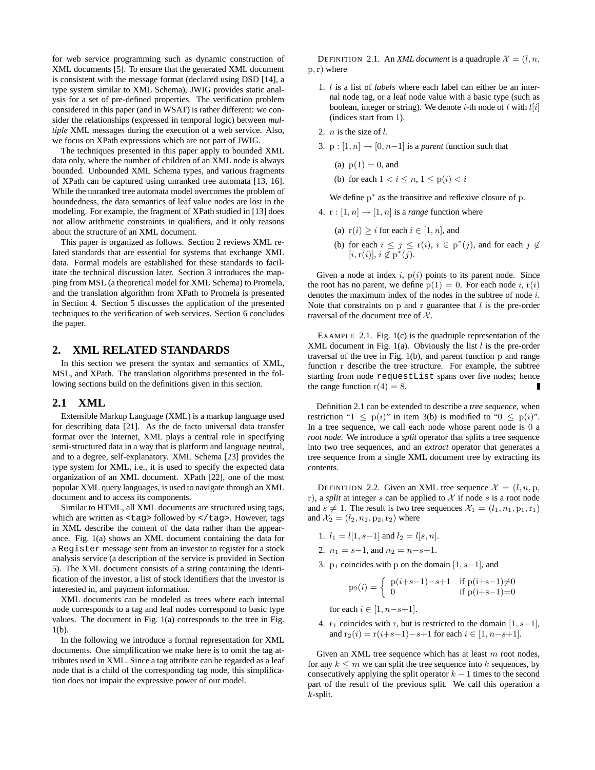for web service programming such as dynamic construction of XML documents [5]. To ensure that the generated XML document is consistent with the message format (declared using DSD [14], a type system similar to XML Schema), JWIG provides static analysis for a set of pre-defined properties. The verification problem considered in this paper (and in WSAT) is rather different: we consider the relationships (expressed in temporal logic) between *multiple* XML messages during the execution of a web service. Also, we focus on XPath expressions which are not part of JWIG.

The techniques presented in this paper apply to bounded XML data only, where the number of children of an XML node is always bounded. Unbounded XML Schema types, and various fragments of XPath can be captured using unranked tree automata [13, 16]. While the unranked tree automata model overcomes the problem of boundedness, the data semantics of leaf value nodes are lost in the modeling. For example, the fragment of XPath studied in [13] does not allow arithmetic constraints in qualifiers, and it only reasons about the structure of an XML document.

This paper is organized as follows. Section 2 reviews XML related standards that are essential for systems that exchange XML data. Formal models are established for these standards to facilitate the technical discussion later. Section 3 introduces the mapping from MSL (a theoretical model for XML Schema) to Promela, and the translation algorithm from XPath to Promela is presented in Section 4. Section 5 discusses the application of the presented techniques to the verification of web services. Section 6 concludes the paper.

### **2. XML RELATED STANDARDS**

In this section we present the syntax and semantics of XML, MSL, and XPath. The translation algorithms presented in the following sections build on the definitions given in this section.

## **2.1 XML**

Extensible Markup Language (XML) is a markup language used for describing data [21]. As the de facto universal data transfer format over the Internet, XML plays a central role in specifying semi-structured data in a way that is platform and language neutral, and to a degree, self-explanatory. XML Schema [23] provides the type system for XML, i.e., it is used to specify the expected data organization of an XML document. XPath [22], one of the most popular XML query languages, is used to navigate through an XML document and to access its components.

Similar to HTML, all XML documents are structured using tags, which are written as <tag> followed by </tag>. However, tags in XML describe the content of the data rather than the appearance. Fig. 1(a) shows an XML document containing the data for a Register message sent from an investor to register for a stock analysis service (a description of the service is provided in Section 5). The XML document consists of a string containing the identification of the investor, a list of stock identifiers that the investor is interested in, and payment information.

XML documents can be modeled as trees where each internal node corresponds to a tag and leaf nodes correspond to basic type values. The document in Fig. 1(a) corresponds to the tree in Fig. 1(b).

In the following we introduce a formal representation for XML documents. One simplification we make here is to omit the tag attributes used in XML. Since a tag attribute can be regarded as a leaf node that is a child of the corresponding tag node, this simplification does not impair the expressive power of our model.

DEFINITION 2.1. An *XML document* is a quadruple  $\mathcal{X} = (l, n, n)$  $p, r)$  where

- 1. l is a list of *labels* where each label can either be an internal node tag, or a leaf node value with a basic type (such as boolean, integer or string). We denote *i*-th node of *l* with  $l[i]$ (indices start from 1).
- 2.  $n$  is the size of  $l$ .
- 3. p :  $[1, n] \rightarrow [0, n-1]$  is a *parent* function such that
	- (a)  $p(1) = 0$ , and
	- (b) for each  $1 < i \le n$ ,  $1 \le p(i) < i$

We define  $p^*$  as the transitive and reflexive closure of p.

- 4.  $r : [1, n] \rightarrow [1, n]$  is a *range* function where
	- (a)  $r(i) \geq i$  for each  $i \in [1, n]$ , and
	- (b) for each  $i \leq j \leq r(i)$ ,  $i \in p^*(j)$ , and for each  $j \notin$  $[i, r(i)], i \notin p^*(j).$

Given a node at index i,  $p(i)$  points to its parent node. Since the root has no parent, we define  $p(1) = 0$ . For each node i,  $r(i)$ denotes the maximum index of the nodes in the subtree of node i. Note that constraints on  $p$  and  $r$  guarantee that  $l$  is the pre-order traversal of the document tree of  $X$ .

EXAMPLE 2.1. Fig. 1(c) is the quadruple representation of the XML document in Fig. 1(a). Obviously the list  $l$  is the pre-order traversal of the tree in Fig. 1(b), and parent function p and range function r describe the tree structure. For example, the subtree starting from node requestList spans over five nodes; hence the range function  $r(4) = 8$ .

Definition 2.1 can be extended to describe a *tree sequence*, when restriction " $1 \leq p(i)$ " in item 3(b) is modified to " $0 \leq p(i)$ ". In a tree sequence, we call each node whose parent node is 0 a *root node*. We introduce a *split* operator that splits a tree sequence into two tree sequences, and an *extract* operator that generates a tree sequence from a single XML document tree by extracting its contents.

DEFINITION 2.2. Given an XML tree sequence  $\mathcal{X} = (l, n, p, n)$ r), a *split* at integer s can be applied to  $X$  if node s is a root node and  $s \neq 1$ . The result is two tree sequences  $\mathcal{X}_1 = (l_1, n_1, p_1, r_1)$ and  $\mathcal{X}_2 = (l_2, n_2, p_2, r_2)$  where

- 1.  $l_1 = l[1, s-1]$  and  $l_2 = l[s, n]$ .
- 2.  $n_1 = s-1$ , and  $n_2 = n-s+1$ .
- 3. p<sub>1</sub> coincides with p on the domain [1, s−1], and

$$
p_2(i) = \begin{cases} p(i+s-1)-s+1 & \text{if } p(i+s-1) \neq 0\\ 0 & \text{if } p(i+s-1)=0 \end{cases}
$$

for each  $i \in [1, n-s+1]$ .

4. r<sub>1</sub> coincides with r, but is restricted to the domain [1, s−1], and  $r_2(i) = r(i+s-1)-s+1$  for each  $i \in [1, n-s+1]$ .

Given an XML tree sequence which has at least  $m$  root nodes, for any  $k \leq m$  we can split the tree sequence into k sequences, by consecutively applying the split operator  $k - 1$  times to the second part of the result of the previous split. We call this operation a k-split.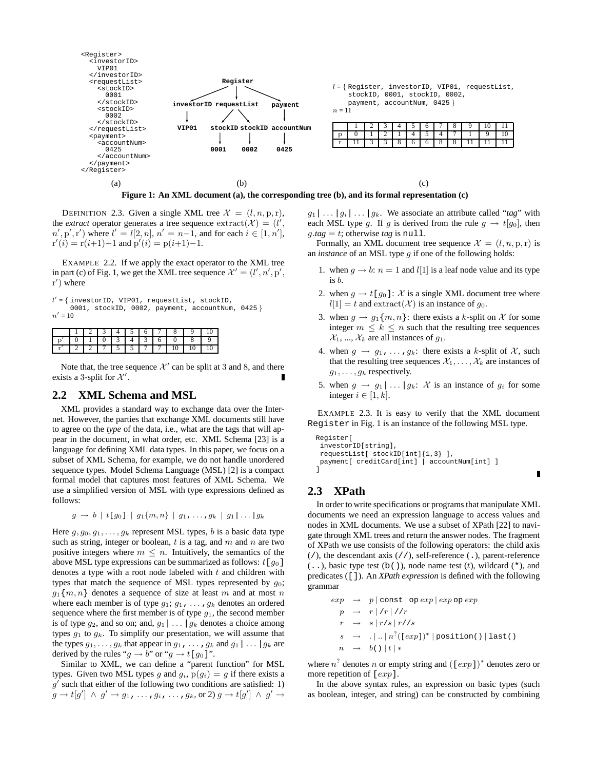

DEFINITION 2.3. Given a single XML tree  $\mathcal{X} = (l, n, p, r)$ , the *extract* operator generates a tree sequence  $\text{extract}(\mathcal{X}) = (l',$  $n', p', r'$  where  $l' = l[2, n], n' = n-1$ , and for each  $i \in [1, n'],$  $r'(i) = r(i+1)-1$  and  $p'(i) = p(i+1)-1$ .

EXAMPLE 2.2. If we apply the exact operator to the XML tree in part (c) of Fig. 1, we get the XML tree sequence  $\mathcal{X}' = (l', n', p',$  $r'$ ) where

 $l' = \{$  investorID, VIP01, requestList, stockID, 0001, stockID, 0002, payment, accountNum, 0425 }  $n'=10$ 

|       |  |                           | 4 5 6 7 |  | 8 I |             |  |
|-------|--|---------------------------|---------|--|-----|-------------|--|
|       |  | $0$   3                   |         |  |     | 8           |  |
| י ו י |  | 2   7   5   5   7   7   . |         |  |     | $10 + 10 +$ |  |

Note that, the tree sequence  $\mathcal{X}'$  can be split at 3 and 8, and there exists a 3-split for  $\mathcal{X}'$ .

# **2.2 XML Schema and MSL**

XML provides a standard way to exchange data over the Internet. However, the parties that exchange XML documents still have to agree on the *type* of the data, i.e., what are the tags that will appear in the document, in what order, etc. XML Schema [23] is a language for defining XML data types. In this paper, we focus on a subset of XML Schema, for example, we do not handle unordered sequence types. Model Schema Language (MSL) [2] is a compact formal model that captures most features of XML Schema. We use a simplified version of MSL with type expressions defined as follows:

$$
g \to b \mid t [g_0] \mid g_1\{m,n\} \mid g_1, \ldots, g_k \mid g_1 | \ldots | g_k
$$

Here  $g, g_0, g_1, \ldots, g_k$  represent MSL types, b is a basic data type such as string, integer or boolean,  $t$  is a tag, and  $m$  and  $n$  are two positive integers where  $m \leq n$ . Intuitively, the semantics of the above MSL type expressions can be summarized as follows:  $t[g_0]$ denotes a type with a root node labeled with  $t$  and children with types that match the sequence of MSL types represented by  $g_0$ ;  $g_1{m, n}$  denotes a sequence of size at least m and at most n where each member is of type  $g_1$ ;  $g_1$ , ...,  $g_k$  denotes an ordered sequence where the first member is of type  $g_1$ , the second member is of type  $g_2$ , and so on; and,  $g_1 | \dots | g_k$  denotes a choice among types  $q_1$  to  $q_k$ . To simplify our presentation, we will assume that the types  $g_1, \ldots, g_k$  that appear in  $g_1, \ldots, g_k$  and  $g_1 | \ldots | g_k$  are derived by the rules " $q \rightarrow b$ " or " $q \rightarrow t[q_0]$ ".

Similar to XML, we can define a "parent function" for MSL types. Given two MSL types g and  $g_i$ ,  $p(g_i) = g$  if there exists a  $g'$  such that either of the following two conditions are satisfied: 1)  $g \rightarrow t [g'] \; \wedge \; g' \rightarrow g_1 \, , \, \ldots \, , g_i \, , \, \ldots \, , g_k, \text{or 2)} \; g \rightarrow t [g'] \; \wedge \; g' \rightarrow$ 

 $g_1 | \ldots | g_i | \ldots | g_k$ . We associate an attribute called "*tag*" with each MSL type g. If g is derived from the rule  $g \to t[g_0]$ , then  $g.tag = t$ ; otherwise *tag* is null.

Formally, an XML document tree sequence  $\mathcal{X} = (l, n, p, r)$  is an *instance* of an MSL type g if one of the following holds:

- 1. when  $g \rightarrow b$ :  $n = 1$  and  $l[1]$  is a leaf node value and its type is b.
- 2. when  $g \to t[g_0]: \mathcal{X}$  is a single XML document tree where  $l[1] = t$  and  $\text{extract}(\mathcal{X})$  is an instance of  $g_0$ .
- 3. when  $g \to g_1\{m, n\}$ : there exists a k-split on X for some integer  $m \leq k \leq n$  such that the resulting tree sequences  $\mathcal{X}_1, ..., \mathcal{X}_k$  are all instances of  $g_1$ .
- 4. when  $g \rightarrow g_1, \ldots, g_k$ : there exists a k-split of X, such that the resulting tree sequences  $X_1, \ldots, X_k$  are instances of  $q_1, \ldots, q_k$  respectively.
- 5. when  $g \to g_1 | \dots | g_k$ : X is an instance of  $g_i$  for some integer  $i \in [1, k]$ .

EXAMPLE 2.3. It is easy to verify that the XML document Register in Fig. 1 is an instance of the following MSL type.

П

```
Register[
 investorID[string],
 requestList[ stockID[int]{1,3} ],
 payment[ creditCard[int] | accountNum[int] ]
]
```
# **2.3 XPath**

In order to write specifications or programs that manipulate XML documents we need an expression language to access values and nodes in XML documents. We use a subset of XPath [22] to navigate through XML trees and return the answer nodes. The fragment of XPath we use consists of the following operators: the child axis  $($ /), the descendant axis  $($ / $/$ ), self-reference  $($ .), parent-reference  $($ ..), basic type test  $(b())$ , node name test  $(t)$ , wildcard  $(*)$ , and predicates ([]). An *XPath expression* is defined with the following grammar

$$
\begin{array}{rcl}\n\exp & \rightarrow & p \mid \text{const} \mid \text{op} \exp \mid \exp \text{op} \exp \\
p & \rightarrow & r \mid /r \mid /r \\
r & \rightarrow & s \mid r/s \mid r //s \\
s & \rightarrow & \ldots \mid n^2 (\mid \exp \mid)^* \mid \text{position()} \mid \text{last()} \\
n & \rightarrow & b() \mid t \mid * \\
\end{array}
$$

where  $n^2$  denotes n or empty string and  $(I exp 1)^*$  denotes zero or more repetition of  $[exp]$ .

In the above syntax rules, an expression on basic types (such as boolean, integer, and string) can be constructed by combining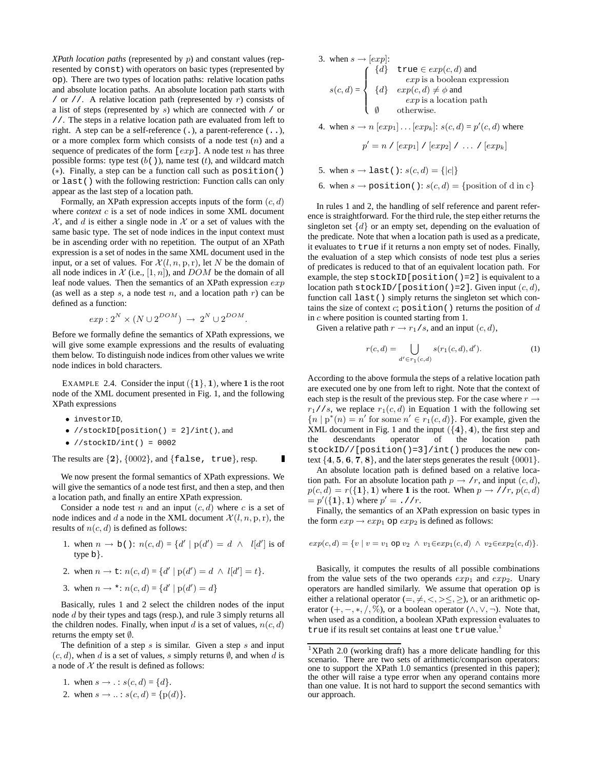*XPath location paths* (represented by p) and constant values (represented by const) with operators on basic types (represented by op). There are two types of location paths: relative location paths and absolute location paths. An absolute location path starts with / or //. A relative location path (represented by  $r$ ) consists of a list of steps (represented by s) which are connected with / or //. The steps in a relative location path are evaluated from left to right. A step can be a self-reference (.), a parent-reference (..), or a more complex form which consists of a node test  $(n)$  and a sequence of predicates of the form  $[exp]$ . A node test *n* has three possible forms: type test  $(b()$ , name test  $(t)$ , and wildcard match (∗). Finally, a step can be a function call such as position() or last() with the following restriction: Function calls can only appear as the last step of a location path.

Formally, an XPath expression accepts inputs of the form  $(c, d)$ where *context* c is a set of node indices in some XML document  $X$ , and d is either a single node in X or a set of values with the same basic type. The set of node indices in the input context must be in ascending order with no repetition. The output of an XPath expression is a set of nodes in the same XML document used in the input, or a set of values. For  $\mathcal{X}(l, n, p, r)$ , let N be the domain of all node indices in  $\mathcal X$  (i.e.,  $[1, n]$ ), and  $DOM$  be the domain of all leaf node values. Then the semantics of an XPath expression exp (as well as a step s, a node test n, and a location path  $r$ ) can be defined as a function:

$$
exp: 2^N \times (N \cup 2^{DOM}) \rightarrow 2^N \cup 2^{DOM}.
$$

Before we formally define the semantics of XPath expressions, we will give some example expressions and the results of evaluating them below. To distinguish node indices from other values we write node indices in bold characters.

EXAMPLE 2.4. Consider the input  $({1}, 1)$ , where 1 is the root node of the XML document presented in Fig. 1, and the following XPath expressions

- investorID,
- //stockID[position() = 2]/int(), and
- $\bullet$  //stockID/int() = 0002

The results are  $\{2\}$ ,  $\{0002\}$ , and  $\{false, true\}$ , resp.

We now present the formal semantics of XPath expressions. We will give the semantics of a node test first, and then a step, and then a location path, and finally an entire XPath expression.

Г

Consider a node test n and an input  $(c, d)$  where c is a set of node indices and d a node in the XML document  $\mathcal{X}(l, n, p, r)$ , the results of  $n(c, d)$  is defined as follows:

- 1. when  $n \to b$  ():  $n(c, d) = \{d' \mid p(d') = d \land l[d'] \text{ is of }$ type b}.
- 2. when  $n \to \pm : n(c, d) = \{d' \mid p(d') = d \land l[d'] = t\}.$
- 3. when  $n \to \star : n(c, d) = \{d' \mid p(d') = d\}$

Basically, rules 1 and 2 select the children nodes of the input node d by their types and tags (resp.), and rule 3 simply returns all the children nodes. Finally, when input d is a set of values,  $n(c, d)$ returns the empty set ∅.

The definition of a step  $s$  is similar. Given a step  $s$  and input  $(c, d)$ , when d is a set of values, s simply returns  $\emptyset$ , and when d is a node of  $X$  the result is defined as follows:

1. when 
$$
s \to \text{... } s(c, d) = \{d\}.
$$
  
2. when  $s \to \text{... } s(c, d) = \{p(d)\}.$ 

3. when 
$$
s \to [exp]
$$
:  
\n
$$
s(c,d) = \begin{cases}\n\{d\} & \text{true} \in exp(c,d) \text{ and } \exp \text{ is a boolean expression} \\
\{d\} & exp(c,d) \neq \phi \text{ and } \exp \text{ is a location path} \\
\emptyset & \text{otherwise.} \n\end{cases}
$$

4. when  $s \to n [exp_1] \dots [exp_k]$ :  $s(c, d) = p'(c, d)$  where

$$
p' = n / [exp1] / [exp2] / ... / [expk]
$$

5. when  $s \to \text{last}$  ():  $s(c, d) = \{|c|\}$ 

6. when  $s \to \text{position}$  ():  $s(c, d) = \{\text{position of d in c}\}\$ 

In rules 1 and 2, the handling of self reference and parent reference is straightforward. For the third rule, the step either returns the singleton set  $\{d\}$  or an empty set, depending on the evaluation of the predicate. Note that when a location path is used as a predicate, it evaluates to true if it returns a non empty set of nodes. Finally, the evaluation of a step which consists of node test plus a series of predicates is reduced to that of an equivalent location path. For example, the step  $stockID[position() = 2]$  is equivalent to a location path stockID/[position()=2]. Given input  $(c, d)$ , function call last() simply returns the singleton set which contains the size of context  $c$ ; position() returns the position of  $d$ in c where position is counted starting from 1.

Given a relative path  $r \to r_1/s$ , and an input  $(c, d)$ ,

$$
r(c,d) = \bigcup_{d' \in r_1(c,d)} s(r_1(c,d),d').
$$
 (1)

According to the above formula the steps of a relative location path are executed one by one from left to right. Note that the context of each step is the result of the previous step. For the case where  $r \rightarrow$  $r_1//s$ , we replace  $r_1(c, d)$  in Equation 1 with the following set  ${n | p^*(n) = n' \text{ for some } n' \in r_1(c, d)}$ . For example, given the XML document in Fig. 1 and the input  $({4}, 4)$ , the first step and the descendants operator of the location path stockID//[position()=3]/int() produces the new context {4, 5, 6, 7, 8}, and the later steps generates the result {0001}.

An absolute location path is defined based on a relative location path. For an absolute location path  $p \rightarrow /r$ , and input  $(c, d)$ ,  $p(c, d) = r({1}, 1)$  where 1 is the root. When  $p \rightarrow r/r$ ,  $p(c, d)$  $=p'(\{1\}, 1)$  where  $p' = .$  //r.

Finally, the semantics of an XPath expression on basic types in the form  $\exp \rightarrow \exp_1$  op  $\exp_2$  is defined as follows:

$$
exp(c, d) = \{v \mid v = v_1 \text{ op } v_2 \ \land \ v_1 \in exp_1(c, d) \ \land \ v_2 \in exp_2(c, d)\}.
$$

Basically, it computes the results of all possible combinations from the value sets of the two operands  $exp_1$  and  $exp_2$ . Unary operators are handled similarly. We assume that operation op is either a relational operator  $(=, \neq, <, > \leq, \geq)$ , or an arithmetic operator  $(+, -, *, /, %)$ , or a boolean operator  $(∧, ∨, ¬)$ . Note that, when used as a condition, a boolean XPath expression evaluates to true if its result set contains at least one true value.<sup>1</sup>

<sup>1</sup>XPath 2.0 (working draft) has a more delicate handling for this scenario. There are two sets of arithmetic/comparison operators: one to support the XPath 1.0 semantics (presented in this paper); the other will raise a type error when any operand contains more than one value. It is not hard to support the second semantics with our approach.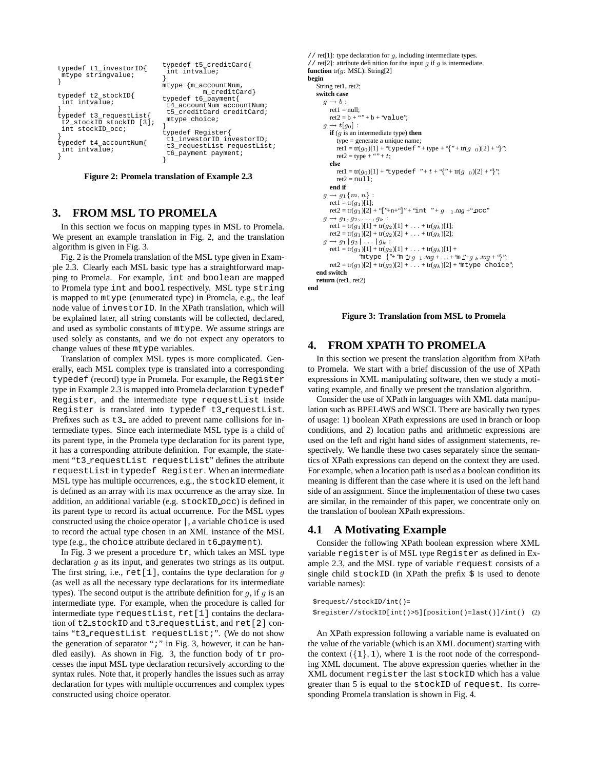| typedef t1_investorID{<br>mtype stringvalue;                                                                                                              | typedef t5 creditCard{<br>int intvalue;<br>$m$ type $\{m$ account Num,                                                                                                                                                  |  |  |  |
|-----------------------------------------------------------------------------------------------------------------------------------------------------------|-------------------------------------------------------------------------------------------------------------------------------------------------------------------------------------------------------------------------|--|--|--|
| typedef t2_stockID{<br>int intvalue;<br>typedef t3 requestList{<br>t2 stockID stockID [3];<br>int stockID occ;<br>typedef t4_accountNum{<br>int intvalue; | m_creditCard}<br>typedef t6 payment{<br>t4 accountNum accountNum;<br>t5 creditCard creditCard;<br>mtype choice;<br>typedef Register{<br>t1 investorID investorID;<br>t3 requestList requestList;<br>t6_payment payment; |  |  |  |

**Figure 2: Promela translation of Example 2.3**

# **3. FROM MSL TO PROMELA**

In this section we focus on mapping types in MSL to Promela. We present an example translation in Fig. 2, and the translation algorithm is given in Fig. 3.

Fig. 2 is the Promela translation of the MSL type given in Example 2.3. Clearly each MSL basic type has a straightforward mapping to Promela. For example, int and boolean are mapped to Promela type int and bool respectively. MSL type string is mapped to mtype (enumerated type) in Promela, e.g., the leaf node value of investorID. In the XPath translation, which will be explained later, all string constants will be collected, declared, and used as symbolic constants of mtype. We assume strings are used solely as constants, and we do not expect any operators to change values of these mtype variables.

Translation of complex MSL types is more complicated. Generally, each MSL complex type is translated into a corresponding typedef (record) type in Promela. For example, the Register type in Example 2.3 is mapped into Promela declaration typedef Register, and the intermediate type requestList inside Register is translated into typedef t3 requestList. Prefixes such as  $t3$  are added to prevent name collisions for intermediate types. Since each intermediate MSL type is a child of its parent type, in the Promela type declaration for its parent type, it has a corresponding attribute definition. For example, the statement "t3 requestList requestList" defines the attribute requestList in typedef Register. When an intermediate MSL type has multiple occurrences, e.g., the stockID element, it is defined as an array with its max occurrence as the array size. In addition, an additional variable (e.g. stockID occ) is defined in its parent type to record its actual occurrence. For the MSL types constructed using the choice operator |, a variable choice is used to record the actual type chosen in an XML instance of the MSL type (e.g., the choice attribute declared in t6 payment).

In Fig. 3 we present a procedure  $tr$ , which takes an MSL type declaration g as its input, and generates two strings as its output. The first string, i.e.,  $\text{ret}[1]$ , contains the type declaration for q (as well as all the necessary type declarations for its intermediate types). The second output is the attribute definition for  $q$ , if  $q$  is an intermediate type. For example, when the procedure is called for intermediate type requestList, ret[1] contains the declaration of t2 stockID and t3 requestList, and ret[2] contains "t3 requestList requestList;". (We do not show the generation of separator ";" in Fig. 3, however, it can be handled easily). As shown in Fig. 3, the function body of tr processes the input MSL type declaration recursively according to the syntax rules. Note that, it properly handles the issues such as array declaration for types with multiple occurrences and complex types constructed using choice operator.

```
// ret[1]: type declaration for g, including intermediate types.
// ret[2]: attribute definition for the input g if g is intermediate.
function tr(g: MSL): String[2]
begin
   String ret1, ret2;
    switch case
       g \rightarrow b:
          ret1 = null;ret1 = \frac{tan}{1},<br>ret2 = b + \cdots + b + \text{Value};
       g \rightarrow t[g_0]:
          if (g is an intermediate type) then
             type = generate a unique name;
              ret1 = tr(g<sub>0</sub>)[1] + "typedef" + type + "{" + tr(g 0)[2] + "}";
             ret2 = type + " " + t;else
             ret1 = tr(g<sub>0</sub>)[1] + "typedef " + t + "{" + tr(g <sub>0</sub>)[2] + "}";
             ret2 = null:
          end if
       g \rightarrow g_1\{m, n\}:
          ret1 = tr(g_1)[1];ret2 = tr(g_1)[2] + "[''+n+"]" + "int" + g_{1} . tag + "occ"q \rightarrow q_1, q_2, \ldots, q_k:
          ret1 = tr(g_1)[1] + tr(g_2)[1] + ... + tr(g_k)[1];\text{ret2} = \text{tr}(g_1)[2] + \text{tr}(g_2)[2] + \ldots + \text{tr}(g_k)[2];g \rightarrow g_1 | g_2 | \ldots | g_k:
          ret1 = tr(g_1)[1] + tr(g_2)[1] + ... + tr(g_k)[1] + ...\text{inttype } {"+"m"+g 1.tag + ... +"m"+g k.tag +"}";<br>ret2 = tr(g<sub>1</sub>)[2] + tr(g<sub>2</sub>)[2] + ... + tr(g<sub>k</sub>)[2] + "mtype choice";
    end switch
   return (ret1, ret2)
end
```
**Figure 3: Translation from MSL to Promela**

### **4. FROM XPATH TO PROMELA**

In this section we present the translation algorithm from XPath to Promela. We start with a brief discussion of the use of XPath expressions in XML manipulating software, then we study a motivating example, and finally we present the translation algorithm.

Consider the use of XPath in languages with XML data manipulation such as BPEL4WS and WSCI. There are basically two types of usage: 1) boolean XPath expressions are used in branch or loop conditions, and 2) location paths and arithmetic expressions are used on the left and right hand sides of assignment statements, respectively. We handle these two cases separately since the semantics of XPath expressions can depend on the context they are used. For example, when a location path is used as a boolean condition its meaning is different than the case where it is used on the left hand side of an assignment. Since the implementation of these two cases are similar, in the remainder of this paper, we concentrate only on the translation of boolean XPath expressions.

#### **4.1 A Motivating Example**

Consider the following XPath boolean expression where XML variable register is of MSL type Register as defined in Example 2.3, and the MSL type of variable request consists of a single child  $stockID$  (in XPath the prefix  $\hat{\varsigma}$  is used to denote variable names):

```
$request//stockID/int()=
$register//stockID[int()>5][position()=last()]/int() (2)
```
An XPath expression following a variable name is evaluated on the value of the variable (which is an XML document) starting with the context  $({1}, 1)$ , where 1 is the root node of the corresponding XML document. The above expression queries whether in the XML document register the last stockID which has a value greater than 5 is equal to the stockID of request. Its corresponding Promela translation is shown in Fig. 4.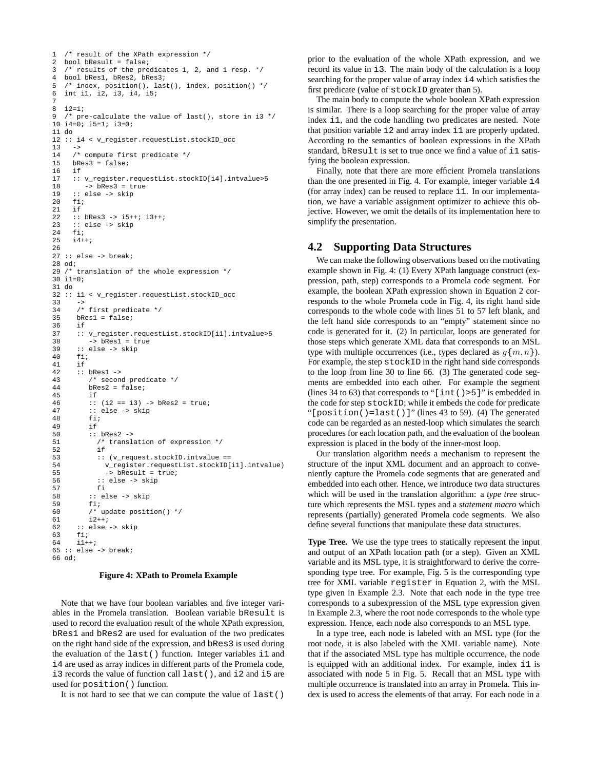```
1 /* result of the XPath expression */<br>2 bool bResult = false;
  bool bResult = false;
3 /* results of the predicates 1, 2, and 1 resp. */
4 bool bRes1, bRes2, bRes3;
5 /* index, position(), last(), index, position() */
6 int i1, i2, i3, i4, i5;
7
8 i2=1;
9 /* pre-calculate the value of last(), store in i3 */
10 i4=0; i5=1; i3=0;
11 do
12 :: i4 < v_register.requestList.stockID_occ
1314 /* compute first predicate */
15 bRes3 = false;
16 if
17 :: v_register.requestList.stockID[i4].intvalue>5
18 -> bRes3 = true
19 :: else -> skip<br>20 fi:
20 fi;<br>21 if
21 if<br>22 ::
     22 :: bRes3 -> i5++; i3++;
23 :: else -> skip
24 fi;<br>25 i4+
     i4++;26
27 :: else -> break;
28 od;
29 /* translation of the whole expression */
30 i1=0;
31 do
32 :: i1 < v_register.requestList.stockID_occ
33<br>34/* first predicate */35 bRes1 = false;<br>36 if
      36 if
37 :: v_register.requestList.stockID[i1].intvalue>5<br>38 -> bRes1 = true
38 -> bRes1 = true<br>39 :: else -> skip
39 :: else -> skip<br>40 fi;
40 fi;<br>41 if
41 if<br>42 ::
42 :: bRes1 -><br>43 /* secon
         /* second predicate */44 bRes2 = false;<br>45 if
45 if<br>46 ::
46 :: (i2 == i3) \rightarrow bRes2 = true;<br>47 :: else -> skip
47 :: else -> skip<br>48 fi;
48 fi;
         i.f.50 :: bRes2 - > 51 /* transl
           7* translation of expression */5253 :: (v_request.stockID.intvalue ==
54 v_register.requestList.stockID[i1].intvalue)
55 -> bResult = true;
56 :: else -> skip
57 fi
58 :: else -> skip
59 fi;
60 /* update position() */
61 i2++i62 :: else -> skip
63 fi;
64 \t i1++;65 :: else -> break;
66 od;
```
#### **Figure 4: XPath to Promela Example**

Note that we have four boolean variables and five integer variables in the Promela translation. Boolean variable bResult is used to record the evaluation result of the whole XPath expression, bRes1 and bRes2 are used for evaluation of the two predicates on the right hand side of the expression, and bRes3 is used during the evaluation of the last() function. Integer variables i1 and i4 are used as array indices in different parts of the Promela code, i3 records the value of function call last(), and i2 and i5 are used for position() function.

It is not hard to see that we can compute the value of last()

prior to the evaluation of the whole XPath expression, and we record its value in i3. The main body of the calculation is a loop searching for the proper value of array index i4 which satisfies the first predicate (value of stockID greater than 5).

The main body to compute the whole boolean XPath expression is similar. There is a loop searching for the proper value of array index i1, and the code handling two predicates are nested. Note that position variable i2 and array index i1 are properly updated. According to the semantics of boolean expressions in the XPath standard, bResult is set to true once we find a value of i1 satisfying the boolean expression.

Finally, note that there are more efficient Promela translations than the one presented in Fig. 4. For example, integer variable i4 (for array index) can be reused to replace i1. In our implementation, we have a variable assignment optimizer to achieve this objective. However, we omit the details of its implementation here to simplify the presentation.

### **4.2 Supporting Data Structures**

We can make the following observations based on the motivating example shown in Fig. 4: (1) Every XPath language construct (expression, path, step) corresponds to a Promela code segment. For example, the boolean XPath expression shown in Equation 2 corresponds to the whole Promela code in Fig. 4, its right hand side corresponds to the whole code with lines 51 to 57 left blank, and the left hand side corresponds to an "empty" statement since no code is generated for it. (2) In particular, loops are generated for those steps which generate XML data that corresponds to an MSL type with multiple occurrences (i.e., types declared as  $g\{m, n\}$ ). For example, the step stockID in the right hand side corresponds to the loop from line 30 to line 66. (3) The generated code segments are embedded into each other. For example the segment (lines 34 to 63) that corresponds to " $[int() > 5]$ " is embedded in the code for step stockID; while it embeds the code for predicate "[position()=last()]" (lines 43 to 59). (4) The generated code can be regarded as an nested-loop which simulates the search procedures for each location path, and the evaluation of the boolean expression is placed in the body of the inner-most loop.

Our translation algorithm needs a mechanism to represent the structure of the input XML document and an approach to conveniently capture the Promela code segments that are generated and embedded into each other. Hence, we introduce two data structures which will be used in the translation algorithm: a *type tree* structure which represents the MSL types and a *statement macro* which represents (partially) generated Promela code segments. We also define several functions that manipulate these data structures.

**Type Tree.** We use the type trees to statically represent the input and output of an XPath location path (or a step). Given an XML variable and its MSL type, it is straightforward to derive the corresponding type tree. For example, Fig. 5 is the corresponding type tree for XML variable register in Equation 2, with the MSL type given in Example 2.3. Note that each node in the type tree corresponds to a subexpression of the MSL type expression given in Example 2.3, where the root node corresponds to the whole type expression. Hence, each node also corresponds to an MSL type.

In a type tree, each node is labeled with an MSL type (for the root node, it is also labeled with the XML variable name). Note that if the associated MSL type has multiple occurrence, the node is equipped with an additional index. For example, index i1 is associated with node 5 in Fig. 5. Recall that an MSL type with multiple occurrence is translated into an array in Promela. This index is used to access the elements of that array. For each node in a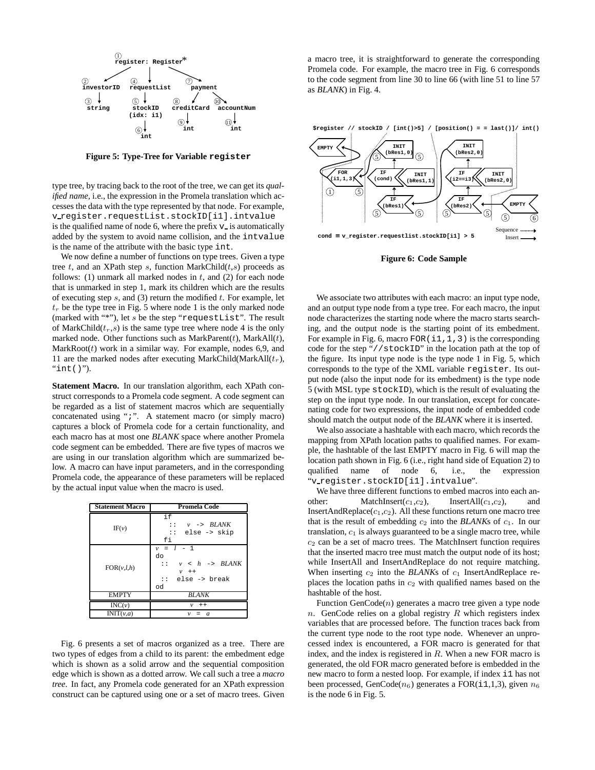

**Figure 5: Type-Tree for Variable register**

type tree, by tracing back to the root of the tree, we can get its *qualified name*, i.e., the expression in the Promela translation which accesses the data with the type represented by that node. For example, v register.requestList.stockID[i1].intvalue is the qualified name of node 6, where the prefix  $v_i$  is automatically added by the system to avoid name collision, and the intvalue is the name of the attribute with the basic type int.

We now define a number of functions on type trees. Given a type tree  $t$ , and an XPath step  $s$ , function MarkChild $(t,s)$  proceeds as follows: (1) unmark all marked nodes in  $t$ , and (2) for each node that is unmarked in step 1, mark its children which are the results of executing step  $s$ , and (3) return the modified  $t$ . For example, let  $t_r$  be the type tree in Fig. 5 where node 1 is the only marked node (marked with "\*"), let s be the step "requestList". The result of MarkChild( $t_r$ ,s) is the same type tree where node 4 is the only marked node. Other functions such as  $MarkParent(t)$ , MarkAll(t),  $MarkRoot(t)$  work in a similar way. For example, nodes 6,9, and 11 are the marked nodes after executing MarkChild(MarkAll( $t_r$ ), " $int()$ ").

**Statement Macro.** In our translation algorithm, each XPath construct corresponds to a Promela code segment. A code segment can be regarded as a list of statement macros which are sequentially concatenated using ";". A statement macro (or simply macro) captures a block of Promela code for a certain functionality, and each macro has at most one *BLANK* space where another Promela code segment can be embedded. There are five types of macros we are using in our translation algorithm which are summarized below. A macro can have input parameters, and in the corresponding Promela code, the appearance of these parameters will be replaced by the actual input value when the macro is used.

| <b>Statement Macro</b> | Promela Code                                                                                                        |  |  |  |
|------------------------|---------------------------------------------------------------------------------------------------------------------|--|--|--|
| IF(v)                  | if<br>$v \rightarrow BLANK$<br>1:1<br>else -> skip<br>$\mathbf{1}$<br>fi                                            |  |  |  |
| FOR(v, l, h)           | $v = l - 1$<br>do<br>$v \leq h \Rightarrow BIANK$<br>$\mathbf{1}$<br>$v + +$<br>else -> break<br>$\mathbf{1}$<br>od |  |  |  |
| <b>EMPTY</b>           | <b>BLANK</b>                                                                                                        |  |  |  |
| INC(v)                 | $\mathcal{V}$<br>$+ +$                                                                                              |  |  |  |
| INT(v,a)               | v<br>$\boldsymbol{a}$                                                                                               |  |  |  |

Fig. 6 presents a set of macros organized as a tree. There are two types of edges from a child to its parent: the embedment edge which is shown as a solid arrow and the sequential composition edge which is shown as a dotted arrow. We call such a tree a *macro tree*. In fact, any Promela code generated for an XPath expression construct can be captured using one or a set of macro trees. Given

a macro tree, it is straightforward to generate the corresponding Promela code. For example, the macro tree in Fig. 6 corresponds to the code segment from line 30 to line 66 (with line 51 to line 57 as *BLANK*) in Fig. 4.



**Figure 6: Code Sample**

We associate two attributes with each macro: an input type node, and an output type node from a type tree. For each macro, the input node characterizes the starting node where the macro starts searching, and the output node is the starting point of its embedment. For example in Fig. 6, macro  $FOR(i1,1,3)$  is the corresponding code for the step "//stockID" in the location path at the top of the figure. Its input type node is the type node 1 in Fig. 5, which corresponds to the type of the XML variable register. Its output node (also the input node for its embedment) is the type node 5 (with MSL type stockID), which is the result of evaluating the step on the input type node. In our translation, except for concatenating code for two expressions, the input node of embedded code should match the output node of the *BLANK* where it is inserted.

We also associate a hashtable with each macro, which records the mapping from XPath location paths to qualified names. For example, the hashtable of the last EMPTY macro in Fig. 6 will map the location path shown in Fig. 6 (i.e., right hand side of Equation 2) to qualified name of node 6, i.e., the expression "v register.stockID[i1].intvalue".

We have three different functions to embed macros into each another: MatchInsert( $c_1, c_2$ ), InsertAll( $c_1, c_2$ ), and InsertAndReplace( $c_1,c_2$ ). All these functions return one macro tree that is the result of embedding  $c_2$  into the *BLANK*s of  $c_1$ . In our translation,  $c_1$  is always guaranteed to be a single macro tree, while  $c_2$  can be a set of macro trees. The MatchInsert function requires that the inserted macro tree must match the output node of its host; while InsertAll and InsertAndReplace do not require matching. When inserting  $c_2$  into the *BLANK*s of  $c_1$  InsertAndReplace replaces the location paths in  $c_2$  with qualified names based on the hashtable of the host.

Function  $GenCode(n)$  generates a macro tree given a type node n. GenCode relies on a global registry  $R$  which registers index variables that are processed before. The function traces back from the current type node to the root type node. Whenever an unprocessed index is encountered, a FOR macro is generated for that index, and the index is registered in R. When a new FOR macro is generated, the old FOR macro generated before is embedded in the new macro to form a nested loop. For example, if index i1 has not been processed, GenCode( $n_6$ ) generates a FOR(i1,1,3), given  $n_6$ is the node 6 in Fig. 5.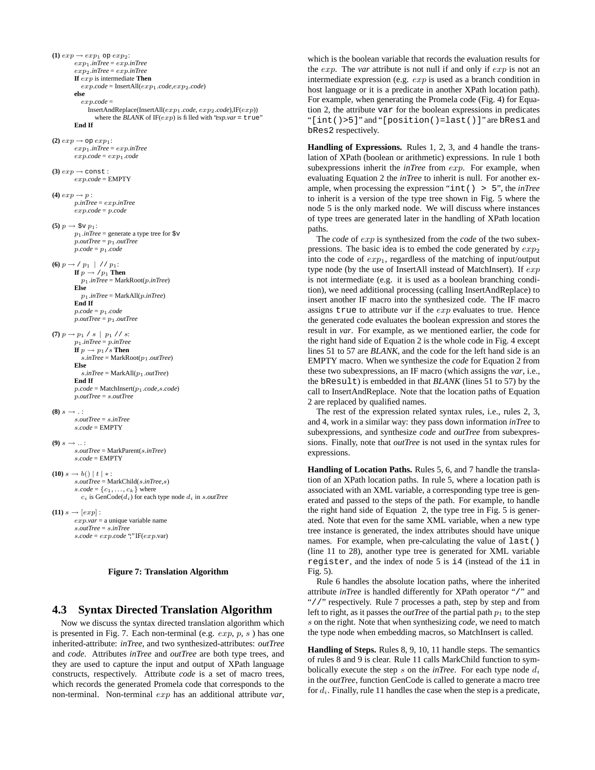```
(1) exp \rightarrow exp_1 op exp_2:
        exp1.inTree = exp.inTree
        exp2.inTree = exp.inTree
        If exp is intermediate Then
           exp.code = InsertAll(exp1.code,exp2.code)
        else
           exp.code =
             InsertAndReplace(InsertAll(exp1.code, exp2.code),IF(exp))
                where the BLANK of IF(exp) is filled with "exp.var = true"
        End If
(2) exp \rightarrow op exp_1:
        exp1.inTree = exp.inTree
        exp.code = exp1.code
(3) exp \rightarrow const :
        exp.code = EMPTY
(4) exp \rightarrow p:
        p.inTree = exp.inTree
        exp.code = p.code
(5) p \to \$ \lor p_1:
        p_1.inTree = generate a type tree for \dagger vp.outTree = p_1.outTreep.code = p1.code
(6) p \rightarrow / p_1 | // p_1:
        If p \rightarrow /p_1 Then
          p1.inTree = MarkRoot(p.inTree)
        Else
           p1.inTree = MarkAll(p.inTree)
        End If
        p.code = p1.code
        p.outTree = p_1.outTree(7) p \rightarrow p_1 / s | p_1 // s :
        p1.inTree = p.inTree
        If p \rightarrow p_1/s Then
           s.inTree = MarkRoot(p1.outTree)
        Else
           s.inTree = MarkAll(p1.outTree)
        End If
        p.code = MatchInsert(p1.code,s.code)
        p.outTree = s.outTree
(8) s \rightarrow \cdots.outTree = s.inTree
        s.code = EMPTY
(9) s \rightarrow \ldotss.outTree = MarkParent(s.inTree)
        s.\mathit{code} = \mathrm{EMPTY}(10) s → b() | t | * :
        s.outTree = MarkChild(s.inTree,s)
        s.\textit{code} = \{c_1, \ldots, c_k\} where
           c_i is GenCode(d_i) for each type node d_i in s.outTree(11) s \rightarrow [exp]:
        exp.var = a unique variable name
        s.outTree = s.inTree
        s.code = exp.code ";" IF(exp.var)
```


# **4.3 Syntax Directed Translation Algorithm**

Now we discuss the syntax directed translation algorithm which is presented in Fig. 7. Each non-terminal (e.g.  $exp, p, s$ ) has one inherited-attribute: *inTree*, and two synthesized-attributes: *outTree* and *code*. Attributes *inTree* and *outTree* are both type trees, and they are used to capture the input and output of XPath language constructs, respectively. Attribute *code* is a set of macro trees, which records the generated Promela code that corresponds to the non-terminal. Non-terminal exp has an additional attribute *var*,

which is the boolean variable that records the evaluation results for the exp. The *var* attribute is not null if and only if exp is not an intermediate expression (e.g. exp is used as a branch condition in host language or it is a predicate in another XPath location path). For example, when generating the Promela code (Fig. 4) for Equation 2, the attribute var for the boolean expressions in predicates "[int()>5]" and "[position()=last()]" are bRes1 and bRes2 respectively.

**Handling of Expressions.** Rules 1, 2, 3, and 4 handle the translation of XPath (boolean or arithmetic) expressions. In rule 1 both subexpressions inherit the *inTree* from exp. For example, when evaluating Equation 2 the *inTree* to inherit is null. For another example, when processing the expression "int() > 5", the *inTree* to inherit is a version of the type tree shown in Fig. 5 where the node 5 is the only marked node. We will discuss where instances of type trees are generated later in the handling of XPath location paths.

The *code* of exp is synthesized from the *code* of the two subexpressions. The basic idea is to embed the code generated by  $exp<sub>2</sub>$ into the code of  $exp<sub>1</sub>$ , regardless of the matching of input/output type node (by the use of InsertAll instead of MatchInsert). If exp is not intermediate (e.g. it is used as a boolean branching condition), we need additional processing (calling InsertAndReplace) to insert another IF macro into the synthesized code. The IF macro assigns true to attribute *var* if the exp evaluates to true. Hence the generated code evaluates the boolean expression and stores the result in *var*. For example, as we mentioned earlier, the code for the right hand side of Equation 2 is the whole code in Fig. 4 except lines 51 to 57 are *BLANK*, and the code for the left hand side is an EMPTY macro. When we synthesize the *code* for Equation 2 from these two subexpressions, an IF macro (which assigns the *var*, i.e., the bResult) is embedded in that *BLANK* (lines 51 to 57) by the call to InsertAndReplace. Note that the location paths of Equation 2 are replaced by qualified names.

The rest of the expression related syntax rules, i.e., rules 2, 3, and 4, work in a similar way: they pass down information *inTree* to subexpressions, and synthesize *code* and *outTree* from subexpressions. Finally, note that *outTree* is not used in the syntax rules for expressions.

**Handling of Location Paths.** Rules 5, 6, and 7 handle the translation of an XPath location paths. In rule 5, where a location path is associated with an XML variable, a corresponding type tree is generated and passed to the steps of the path. For example, to handle the right hand side of Equation 2, the type tree in Fig. 5 is generated. Note that even for the same XML variable, when a new type tree instance is generated, the index attributes should have unique names. For example, when pre-calculating the value of last() (line 11 to 28), another type tree is generated for XML variable register, and the index of node 5 is i4 (instead of the i1 in Fig. 5).

Rule 6 handles the absolute location paths, where the inherited attribute *inTree* is handled differently for XPath operator "/" and "//" respectively. Rule 7 processes a path, step by step and from left to right, as it passes the *outTree* of the partial path  $p_1$  to the step s on the right. Note that when synthesizing *code*, we need to match the type node when embedding macros, so MatchInsert is called.

**Handling of Steps.** Rules 8, 9, 10, 11 handle steps. The semantics of rules 8 and 9 is clear. Rule 11 calls MarkChild function to symbolically execute the step s on the  $inTree$ . For each type node  $d_i$ in the *outTree*, function GenCode is called to generate a macro tree for  $d_i$ . Finally, rule 11 handles the case when the step is a predicate,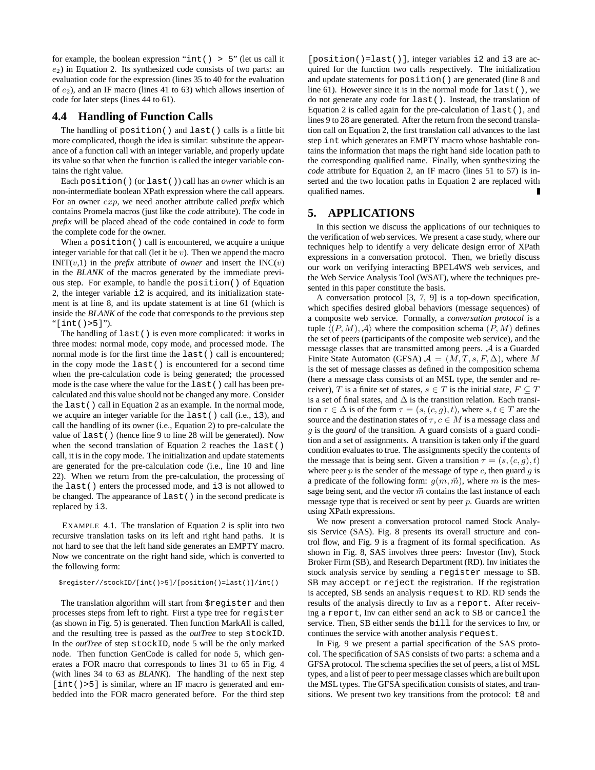for example, the boolean expression "int() > 5" (let us call it  $e_2$ ) in Equation 2. Its synthesized code consists of two parts: an evaluation code for the expression (lines 35 to 40 for the evaluation of  $e_2$ ), and an IF macro (lines 41 to 63) which allows insertion of code for later steps (lines 44 to 61).

# **4.4 Handling of Function Calls**

The handling of position() and last() calls is a little bit more complicated, though the idea is similar: substitute the appearance of a function call with an integer variable, and properly update its value so that when the function is called the integer variable contains the right value.

Each position() (or last()) call has an *owner* which is an non-intermediate boolean XPath expression where the call appears. For an owner exp, we need another attribute called *prefix* which contains Promela macros (just like the *code* attribute). The code in *prefix* will be placed ahead of the code contained in *code* to form the complete code for the owner.

When a position () call is encountered, we acquire a unique integer variable for that call (let it be  $v$ ). Then we append the macro  $INT(v,1)$  in the *prefix* attribute of *owner* and insert the  $INC(v)$ in the *BLANK* of the macros generated by the immediate previous step. For example, to handle the position() of Equation 2, the integer variable i2 is acquired, and its initialization statement is at line 8, and its update statement is at line 61 (which is inside the *BLANK* of the code that corresponds to the previous step "[int()>5]").

The handling of last() is even more complicated: it works in three modes: normal mode, copy mode, and processed mode. The normal mode is for the first time the last() call is encountered; in the copy mode the last() is encountered for a second time when the pre-calculation code is being generated; the processed mode is the case where the value for the last() call has been precalculated and this value should not be changed any more. Consider the last() call in Equation 2 as an example. In the normal mode, we acquire an integer variable for the last() call (i.e., i3), and call the handling of its owner (i.e., Equation 2) to pre-calculate the value of last() (hence line 9 to line 28 will be generated). Now when the second translation of Equation 2 reaches the last() call, it is in the copy mode. The initialization and update statements are generated for the pre-calculation code (i.e., line 10 and line 22). When we return from the pre-calculation, the processing of the last() enters the processed mode, and i3 is not allowed to be changed. The appearance of last() in the second predicate is replaced by i3.

EXAMPLE 4.1. The translation of Equation 2 is split into two recursive translation tasks on its left and right hand paths. It is not hard to see that the left hand side generates an EMPTY macro. Now we concentrate on the right hand side, which is converted to the following form:

#### \$register//stockID/[int()>5]/[position()=last()]/int()

The translation algorithm will start from \$register and then processes steps from left to right. First a type tree for register (as shown in Fig. 5) is generated. Then function MarkAll is called, and the resulting tree is passed as the *outTree* to step stockID. In the *outTree* of step stockID, node 5 will be the only marked node. Then function GenCode is called for node 5, which generates a FOR macro that corresponds to lines 31 to 65 in Fig. 4 (with lines 34 to 63 as *BLANK*). The handling of the next step [int()>5] is similar, where an IF macro is generated and embedded into the FOR macro generated before. For the third step

[position()=last()], integer variables i2 and i3 are acquired for the function two calls respectively. The initialization and update statements for position() are generated (line 8 and line 61). However since it is in the normal mode for last(), we do not generate any code for last(). Instead, the translation of Equation 2 is called again for the pre-calculation of last(), and lines 9 to 28 are generated. After the return from the second translation call on Equation 2, the first translation call advances to the last step int which generates an EMPTY macro whose hashtable contains the information that maps the right hand side location path to the corresponding qualified name. Finally, when synthesizing the *code* attribute for Equation 2, an IF macro (lines 51 to 57) is inserted and the two location paths in Equation 2 are replaced with qualified names.

# **5. APPLICATIONS**

In this section we discuss the applications of our techniques to the verification of web services. We present a case study, where our techniques help to identify a very delicate design error of XPath expressions in a conversation protocol. Then, we briefly discuss our work on verifying interacting BPEL4WS web services, and the Web Service Analysis Tool (WSAT), where the techniques presented in this paper constitute the basis.

A conversation protocol [3, 7, 9] is a top-down specification, which specifies desired global behaviors (message sequences) of a composite web service. Formally, a *conversation protocol* is a tuple  $\langle (P, M), A \rangle$  where the composition schema  $(P, M)$  defines the set of peers (participants of the composite web service), and the message classes that are transmitted among peers. A is a Guarded Finite State Automaton (GFSA)  $A = (M, T, s, F, \Delta)$ , where M is the set of message classes as defined in the composition schema (here a message class consists of an MSL type, the sender and receiver), T is a finite set of states,  $s \in T$  is the initial state,  $F \subseteq T$ is a set of final states, and  $\Delta$  is the transition relation. Each transition  $\tau \in \Delta$  is of the form  $\tau = (s, (c, g), t)$ , where  $s, t \in T$  are the source and the destination states of  $\tau, c \in M$  is a message class and g is the *guard* of the transition. A guard consists of a guard condition and a set of assignments. A transition is taken only if the guard condition evaluates to true. The assignments specify the contents of the message that is being sent. Given a transition  $\tau = (s, (c, g), t)$ where peer  $p$  is the sender of the message of type  $c$ , then guard  $g$  is a predicate of the following form:  $g(m, \vec{m})$ , where m is the message being sent, and the vector  $\vec{m}$  contains the last instance of each message type that is received or sent by peer  $p$ . Guards are written using XPath expressions.

We now present a conversation protocol named Stock Analysis Service (SAS). Fig. 8 presents its overall structure and control flow, and Fig. 9 is a fragment of its formal specification. As shown in Fig. 8, SAS involves three peers: Investor (Inv), Stock Broker Firm (SB), and Research Department (RD). Inv initiates the stock analysis service by sending a register message to SB. SB may accept or reject the registration. If the registration is accepted, SB sends an analysis request to RD. RD sends the results of the analysis directly to Inv as a report. After receiving a report, Inv can either send an ack to SB or cancel the service. Then, SB either sends the bill for the services to Inv, or continues the service with another analysis request.

In Fig. 9 we present a partial specification of the SAS protocol. The specification of SAS consists of two parts: a schema and a GFSA protocol. The schema specifies the set of peers, a list of MSL types, and a list of peer to peer message classes which are built upon the MSL types. The GFSA specification consists of states, and transitions. We present two key transitions from the protocol: t8 and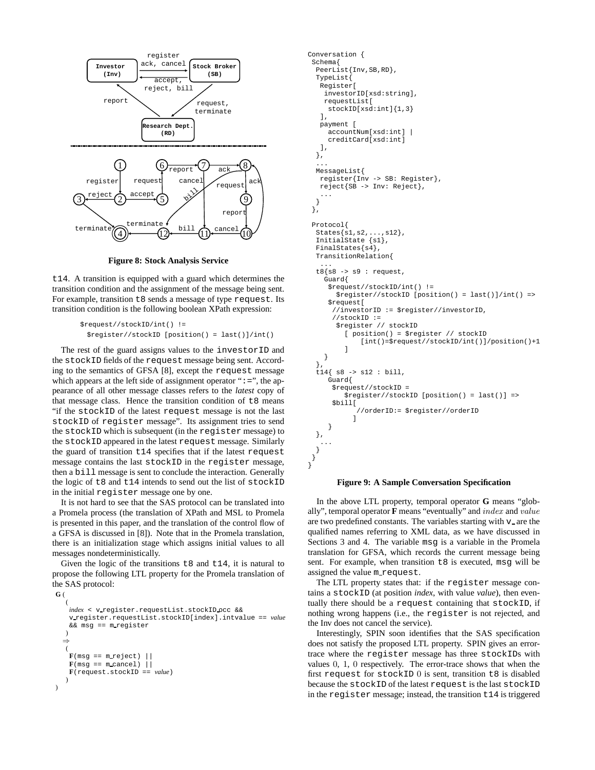

**Figure 8: Stock Analysis Service**

t14. A transition is equipped with a guard which determines the transition condition and the assignment of the message being sent. For example, transition t8 sends a message of type request. Its transition condition is the following boolean XPath expression:

```
$request//stockID/int() !=
 $register//stockID [position() = last()]/int()
```
The rest of the guard assigns values to the investorID and the stockID fields of the request message being sent. According to the semantics of GFSA [8], except the request message which appears at the left side of assignment operator " $:=$ ", the appearance of all other message classes refers to the *latest* copy of that message class. Hence the transition condition of  $t8$  means "if the stockID of the latest request message is not the last stockID of register message". Its assignment tries to send the stockID which is subsequent (in the register message) to the stockID appeared in the latest request message. Similarly the guard of transition t14 specifies that if the latest request message contains the last stockID in the register message, then a bill message is sent to conclude the interaction. Generally the logic of t8 and t14 intends to send out the list of stockID in the initial register message one by one.

It is not hard to see that the SAS protocol can be translated into a Promela process (the translation of XPath and MSL to Promela is presented in this paper, and the translation of the control flow of a GFSA is discussed in [8]). Note that in the Promela translation, there is an initialization stage which assigns initial values to all messages nondeterministically.

Given the logic of the transitions  $\pm 8$  and  $\pm 14$ , it is natural to propose the following LTL property for the Promela translation of the SAS protocol:

```
G (
    (
    index < v register.requestList.stockID occ &&
    v register.requestList.stockID[index].intvalue == value
    && msg == m_register
    )
  ⇒
    (
    \mathbf{F}(\text{msg} == \text{m_reject})\mathbf{F}(\text{msg} == \text{m\_cancel}) |
    F(request.stockID == value)
    )
\lambda
```

```
Conversation {
 Schema{
  PeerList{Inv, SB, RD},
  TypeList{
   Register[
    investorID[xsd:string],
    requestList[
     stockID[xsd:int]{1,3}
   ],
   payment [
     accountNum[xsd:int] |
     creditCard[xsd:int]
   ],
  },
  ...
  MessageList{
   register{Inv -> SB: Register},
   reject{SB -> Inv: Reject},
   ...
  }
 },
 Protocol{
  States{s1,s2,...,s12}InitialState {s1},
  FinalStates{s4},
  TransitionRelation{
   ...
  t8{s8 -> s9 : request,
    Guard{
     $request//stockID/int() !=
       $register//stockID [position() = last()]/int() =>
     $request[
      //investorID := $register//investorID,
      //stockID :=
       $register // stockID
         [ position() = $register // stockID
             [int()=$request//stockID/int()]/position()+1
         ]
    }
  },
  t14{ s8 -> s12 : bill,
     Guard{
      $request//stockID =
         $register//stockID [position() = last()] =>
      $bill[
            //orderID:= $register//orderID
            ]
     }
  },
   ...
  }
 }
}
```
#### **Figure 9: A Sample Conversation Specification**

In the above LTL property, temporal operator **G** means "globally", temporal operator **F** means "eventually" and index and value are two predefined constants. The variables starting with  $v_$  are the qualified names referring to XML data, as we have discussed in Sections 3 and 4. The variable msq is a variable in the Promela translation for GFSA, which records the current message being sent. For example, when transition t8 is executed, msg will be assigned the value m request.

The LTL property states that: if the register message contains a stockID (at position *index*, with value *value*), then eventually there should be a request containing that stockID, if nothing wrong happens (i.e., the register is not rejected, and the Inv does not cancel the service).

Interestingly, SPIN soon identifies that the SAS specification does not satisfy the proposed LTL property. SPIN gives an errortrace where the register message has three stockIDs with values 0, 1, 0 respectively. The error-trace shows that when the first request for stockID 0 is sent, transition t8 is disabled because the stockID of the latest request is the last stockID in the register message; instead, the transition t14 is triggered